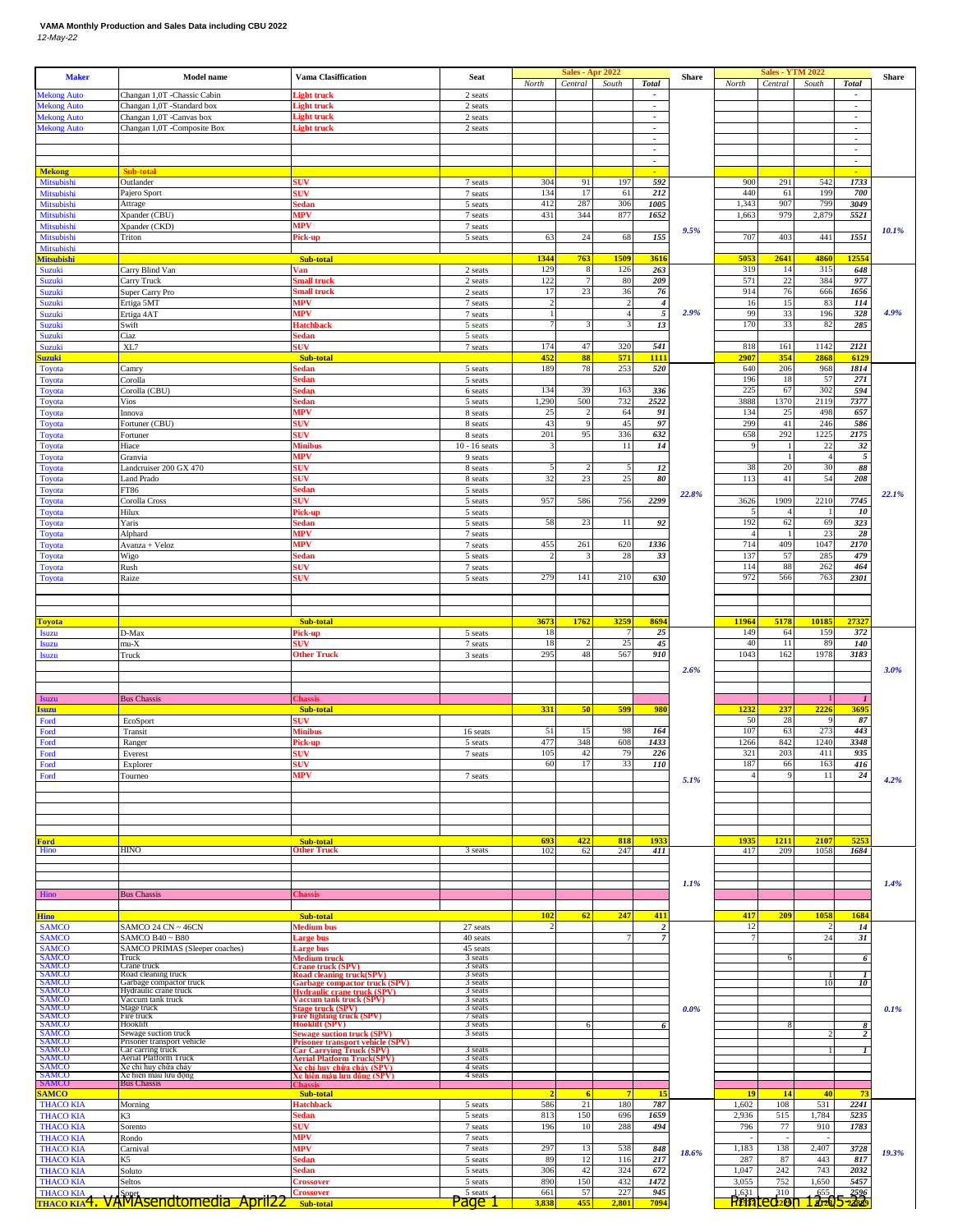## **VAMA Monthly Production and Sales Data including CBU 2022** *12-May-22*

| <b>Mekong Auto</b>                                                                                                              | <b>Model name</b>                                      | <b>Vama Clasiffication</b>                                             | Seat                          | North             | <b>Sales - Apr 2022</b><br>Central | South                   | <b>Total</b>                                         | Share | North                   | <b>Sales - YTM 2022</b><br>Central | South               | <b>Total</b>                               | Share |
|---------------------------------------------------------------------------------------------------------------------------------|--------------------------------------------------------|------------------------------------------------------------------------|-------------------------------|-------------------|------------------------------------|-------------------------|------------------------------------------------------|-------|-------------------------|------------------------------------|---------------------|--------------------------------------------|-------|
|                                                                                                                                 | Changan 1,0T -Chassic Cabin                            | ight truck                                                             | 2 seats                       |                   |                                    |                         | $\overline{\phantom{a}}$                             |       |                         |                                    |                     | $\overline{\phantom{a}}$                   |       |
| <b>Mekong Auto</b><br><b>Mekong Auto</b>                                                                                        | Changan 1,0T -Standard box<br>Changan 1,0T -Canvas box | ight truck<br>light truck                                              | 2 seats<br>2 seats            |                   |                                    |                         | $\overline{\phantom{a}}$<br>$\overline{\phantom{a}}$ |       |                         |                                    |                     | $\blacksquare$<br>$\overline{\phantom{a}}$ |       |
| <b>Mekong Auto</b>                                                                                                              | Changan 1,0T -Composite Box                            | ight truck                                                             | 2 seats                       |                   |                                    |                         | $\overline{\phantom{a}}$                             |       |                         |                                    |                     | $\overline{\phantom{a}}$                   |       |
|                                                                                                                                 |                                                        |                                                                        |                               |                   |                                    |                         | $\overline{\phantom{a}}$<br>$\overline{\phantom{a}}$ |       |                         |                                    |                     | $\blacksquare$<br>$\overline{\phantom{a}}$ |       |
|                                                                                                                                 |                                                        |                                                                        |                               |                   |                                    |                         | $\overline{\phantom{a}}$                             |       |                         |                                    |                     | $\overline{\phantom{a}}$                   |       |
| <b>Mekong</b><br>Mitsubishi                                                                                                     | Sub-tota<br>Outlander                                  | sUV                                                                    | 7 seats                       | 304               | 91                                 | 197                     | 592                                                  |       | 900                     | 291                                | 542                 | 1733                                       |       |
| Mitsubishi                                                                                                                      | Pajero Sport                                           | suv                                                                    | 7 seats                       | 134               | 17                                 | 61                      | 212                                                  |       | 440                     | 61                                 | 199                 | 700                                        |       |
| Mitsubishi<br>Mitsubishi                                                                                                        | Attrage<br>Kpander (CBU)                               | Sedan<br>MPV                                                           | 5 seats<br>7 seats            | 412<br>431        | 287<br>344                         | 306<br>877              | 1005<br>1652                                         |       | 1,343<br>1,663          | 907<br>979                         | 799<br>2,879        | 3049<br>5521                               |       |
| Mitsubishi                                                                                                                      | Xpander (CKD)                                          | MPV                                                                    | 7 seats                       |                   |                                    |                         |                                                      | 9.5%  |                         |                                    |                     |                                            | 10.1% |
| Mitsubishi<br>Mitsubishi                                                                                                        | Triton                                                 | Pick-up                                                                | 5 seats                       | 63                | 24                                 | 68                      | 155                                                  |       | 707                     | 403                                | 441                 | 1551                                       |       |
| <b>Mitsubishi</b>                                                                                                               |                                                        | Sub-total                                                              |                               | 1344              | 763                                | 1509                    | 3616                                                 |       | 5053                    | 2641                               | 4860                | 1255                                       |       |
| Suzuki<br>Suzuki                                                                                                                | Carry Blind Van<br>Carry Truck                         | Van<br>small truck                                                     | 2 seats<br>2 seats            | 129<br>122        | 8                                  | 126<br>80               | 263<br>209                                           |       | 319<br>571              | 14<br>22                           | 315<br>384          | 648<br>977                                 |       |
| Suzuki                                                                                                                          | Super Carry Pro                                        | <b>Small</b> truck                                                     | 2 seats                       | 17                | 23                                 | 36                      | 76                                                   |       | 914                     | 76                                 | 666                 | 1656                                       |       |
| Suzuki<br>Suzuki                                                                                                                | Ertiga 5MT<br>Ertiga 4AT                               | <b>MPV</b><br>MPV                                                      | 7 seats<br>7 seats            |                   |                                    | $\overline{\mathbf{c}}$ | $\overline{4}$<br>$\sqrt{5}$                         | 2.9%  | 16<br>99                | 15<br>33                           | 83<br>196           | 114<br>328                                 | 4.9%  |
| Suzuki                                                                                                                          | Swift                                                  | Hatchback                                                              | 5 seats                       |                   |                                    |                         | $13\,$                                               |       | 170                     | 33                                 | 82                  | 285                                        |       |
| Suzuki<br>Suzuki                                                                                                                | Ciaz<br>XL7                                            | <b>Sedan</b><br>sUV                                                    | 5 seats<br>7 seats            | 174               | 47                                 | 320                     | 541                                                  |       | 818                     | 161                                | 1142                | 2121                                       |       |
| <b>Suzuki</b>                                                                                                                   |                                                        | Sub-total                                                              |                               | 452               | 88                                 | 571                     | 1111                                                 |       | 2907                    | 354                                | 2868                | 612                                        |       |
| Toyota<br>Toyota                                                                                                                | Camry<br>Corolla                                       | sedan<br>sedan                                                         | 5 seats<br>5 seats            | 189               | 78                                 | 253                     | 520                                                  |       | 640<br>196              | 206<br>18                          | 968<br>57           | 1814<br>271                                |       |
| Toyota                                                                                                                          | Corolla (CBU)                                          | sedan                                                                  | 6 seats                       | 134               | 39                                 | 163                     | 336                                                  |       | 225                     | 67                                 | 302                 | 594                                        |       |
| Toyota<br><b>Toyota</b>                                                                                                         | Vios<br>Innova                                         | sedan<br>MPV                                                           | 5 seats<br>8 seats            | 1,290<br>25       | 500                                | 732<br>64               | 2522<br>91                                           |       | 3888<br>134             | 1370<br>25                         | 2119<br>498         | 7377<br>657                                |       |
| Toyota                                                                                                                          | Fortuner (CBU)                                         | SUV                                                                    | 8 seats                       | 43                | 9                                  | 45                      | 97                                                   |       | 299                     | 41                                 | 246                 | 586                                        |       |
| Toyota<br><b>Toyota</b>                                                                                                         | Fortuner<br>Hiace                                      | suv<br>Minibus                                                         | 8 seats<br>$10 - 16$ seats    | 201               | 95                                 | 336<br>11               | 632<br>14                                            |       | 658<br>9                | 292                                | 1225<br>22          | 2175<br>32                                 |       |
| Toyota                                                                                                                          | Granvia                                                | MPV                                                                    | 9 seats                       |                   |                                    |                         |                                                      |       |                         |                                    | $\overline{4}$      | $\mathfrak{s}$                             |       |
| Toyota<br>Toyota                                                                                                                | Landcruiser 200 GX 470<br><b>Land Prado</b>            | suv<br>suv                                                             | 8 seats<br>8 seats            | 32                | 2<br>23                            | 5<br>25                 | 12<br>$\pmb{80}$                                     |       | 38<br>113               | 20<br>41                           | 30<br>54            | 88<br>208                                  |       |
| Toyota                                                                                                                          | FT86                                                   | <b>Sedan</b>                                                           | 5 seats                       |                   |                                    |                         |                                                      | 22.8% |                         |                                    |                     |                                            | 22.1% |
| Toyota<br><b>Toyota</b>                                                                                                         | Corolla Cross<br>Hilux                                 | suv<br>Pick-up                                                         | 5 seats<br>5 seats            | 957               | 586                                | 756                     | 2299                                                 |       | 3626                    | 1909                               | 2210                | 7745<br>$10\,$                             |       |
| Toyota                                                                                                                          | Yaris                                                  | <b>Sedan</b>                                                           | 5 seats                       | 58                | 23                                 | 11                      | 92                                                   |       | 192                     | 62                                 | 69                  | 323                                        |       |
| <b>Toyota</b>                                                                                                                   | Alphard<br>Avanza + Veloz                              | MPV<br>MPV                                                             | 7 seats<br>7 seats            | 455               | 261                                | 620                     | 1336                                                 |       | 714                     | 409                                | 23<br>1047          | 28<br>2170                                 |       |
| Toyota<br>Toyota                                                                                                                | Wigo                                                   | šedan                                                                  | 5 seats                       |                   |                                    | 28                      | 33                                                   |       | 137                     | 57                                 | 285                 | 479                                        |       |
| <b>Toyota</b>                                                                                                                   | Rush<br>Raize                                          | suv<br><b>SUV</b>                                                      | 7 seats<br>5 seats            | 279               | 141                                | 210                     | 630                                                  |       | 114<br>972              | 88<br>566                          | 262<br>763          | 464<br>2301                                |       |
| Toyota                                                                                                                          |                                                        |                                                                        |                               |                   |                                    |                         |                                                      |       |                         |                                    |                     |                                            |       |
|                                                                                                                                 |                                                        |                                                                        |                               |                   |                                    |                         |                                                      |       |                         |                                    |                     |                                            |       |
| <b>Toyota</b>                                                                                                                   |                                                        | Sub-total                                                              |                               | 3673              | 1762                               | 3259                    | 8694                                                 |       | 11964                   | 5178                               | 10185               | 2732                                       |       |
| <b>Isuzu</b>                                                                                                                    | D-Max                                                  | Pick-up<br>5UV                                                         | 5 seats<br>7 seats            | 18<br>18          |                                    | 25                      | 25<br>$\sqrt{45}$                                    |       | 149<br>40               | 64<br>11                           | 159<br>89           | 372<br>140                                 |       |
| <b>Isuzu</b><br><b>Isuzu</b>                                                                                                    | mu-X<br>Truck                                          | <b>Other Truck</b>                                                     | 3 seats                       | 295               | 48                                 | 567                     | 910                                                  |       | 1043                    | 162                                | 1978                | 3183                                       |       |
|                                                                                                                                 |                                                        |                                                                        |                               |                   |                                    |                         |                                                      | 2.6%  |                         |                                    |                     |                                            | 3.0%  |
|                                                                                                                                 |                                                        |                                                                        |                               |                   |                                    |                         |                                                      |       |                         |                                    |                     |                                            |       |
| <b>Isuzu</b>                                                                                                                    | <b>Bus Chassis</b>                                     | <b>Chassis</b><br>Sub-total                                            |                               | 331               | 50                                 | 599                     | 980                                                  |       | 1232                    | 237                                | 2226                | 3695                                       |       |
| <b>Isuzu</b><br>Ford                                                                                                            | EcoSport                                               | <b>SUV</b>                                                             |                               |                   |                                    |                         |                                                      |       | 50                      | 28                                 | 9                   | 87                                         |       |
| Ford<br>Ford                                                                                                                    | Transit<br>Ranger                                      | Minibus<br>Pick-up                                                     | 16 seats<br>5 seats           | 51<br>477         | 15<br>348                          | 98<br>608               | 164<br>1433                                          |       | 107<br>1266             | 63<br>842                          | 273<br>1240         | 443<br>3348                                |       |
| Ford                                                                                                                            | Everest                                                | <b>SUV</b>                                                             | 7 seats                       | 105               | 42                                 | 79                      | 226                                                  |       | 321                     | 203                                | 411                 | 935                                        |       |
| Ford<br>Ford                                                                                                                    | Explorer<br>Tourneo                                    | ₹F™<br>MPV                                                             | 7 seats                       | 60                | 17                                 | 33                      | 110                                                  |       | 187                     | 66                                 |                     | 416                                        |       |
|                                                                                                                                 |                                                        |                                                                        |                               |                   |                                    |                         |                                                      |       |                         |                                    | 163                 |                                            |       |
|                                                                                                                                 |                                                        |                                                                        |                               |                   |                                    |                         |                                                      | 5.1%  |                         |                                    | 11                  | 24                                         | 4.2%  |
|                                                                                                                                 |                                                        |                                                                        |                               |                   |                                    |                         |                                                      |       |                         |                                    |                     |                                            |       |
|                                                                                                                                 |                                                        |                                                                        |                               |                   |                                    |                         |                                                      |       |                         |                                    |                     |                                            |       |
|                                                                                                                                 |                                                        |                                                                        |                               |                   |                                    |                         |                                                      |       |                         |                                    |                     |                                            |       |
| <b>Ford</b><br>Hino                                                                                                             | HINO                                                   | Sub-total<br>)ther Truck                                               | 3 seats                       | 693<br>102        | 422<br>62                          | 818<br>247              | 1933<br>411                                          |       | 1935<br>417             | 1211<br>209                        | 2107<br>1058        | 525<br>1684                                |       |
|                                                                                                                                 |                                                        |                                                                        |                               |                   |                                    |                         |                                                      |       |                         |                                    |                     |                                            |       |
|                                                                                                                                 |                                                        |                                                                        |                               |                   |                                    |                         |                                                      | 1.1%  |                         |                                    |                     |                                            | 1.4%  |
| Hino                                                                                                                            | <b>Bus Chassis</b>                                     | <b>Thassis</b>                                                         |                               |                   |                                    |                         |                                                      |       |                         |                                    |                     |                                            |       |
| <b>Hino</b>                                                                                                                     |                                                        | Sub-total                                                              |                               | 102               | 62                                 | 247                     | 411                                                  |       | 417                     | 209                                | 1058                | 1684                                       |       |
| <b>SAMCO</b>                                                                                                                    | SAMCO 24 CN ~ 46CN                                     | Medium bus                                                             | 27 seats                      |                   |                                    |                         | $\overline{\mathbf{z}}$<br>$\overline{7}$            |       | 12                      |                                    | 24                  | 14                                         |       |
| <b>SAMCO</b><br><b>SAMCO</b>                                                                                                    | SAMCO B40 ~ B80<br>SAMCO PRIMAS (Sleeper coaches)      | <b>Large bus</b><br><b>Large bus</b>                                   | 40 seats<br>45 seats          |                   |                                    |                         |                                                      |       |                         |                                    |                     | $\sqrt{3}$                                 |       |
| SAMCO<br>SAMCO                                                                                                                  | Truck<br>Crane truck                                   | Medium truck<br>rane truck (SPV)                                       | 3 seats<br>3 seats            |                   |                                    |                         |                                                      |       |                         |                                    |                     | 6                                          |       |
|                                                                                                                                 | Road cleaning truck<br>Garbage compactor truck         | Road cleaning truck(SPV)<br><u>Garbage compactor truck (SPV)</u>       | 3 seats<br>3 seats            |                   |                                    |                         |                                                      |       |                         |                                    | 10                  | $\bf{1}$<br>10                             |       |
|                                                                                                                                 | Hydraulic crane truck<br>Vaccum tank truck             | Hydraulic crane truck (SPV)<br>Vaccum tank truck (SPV)                 | $3$ seats<br>3 seats          |                   |                                    |                         |                                                      |       |                         |                                    |                     |                                            |       |
|                                                                                                                                 | Stage truck<br>Fire truck                              | Stage truck (SPV)<br>Fire fighting truck (SPV)                         | 3 seats<br>7 seats            |                   |                                    |                         |                                                      | 0.0%  |                         |                                    |                     |                                            | 0.1%  |
|                                                                                                                                 | Hooklift<br>Sewage suction truck                       | Hooklift (SPV)<br><b>Sewage suction truck (SPV)</b>                    | 3 seats<br>3 seats            |                   |                                    |                         |                                                      |       |                         |                                    |                     |                                            |       |
|                                                                                                                                 | Prisoner transport vehicle<br>Car carring truck        | Prisoner transport vehicle (SPV)<br>Car Carrying Truck (SPV)           | 3 seats                       |                   |                                    |                         |                                                      |       |                         |                                    |                     |                                            |       |
| SAMCO<br>SAMCO<br>SAMCO<br>SAMCO<br>SAMCO<br>SAMCO<br>SAMCO<br>SAMCO<br>SAMCO<br>SAMCO<br>SAMCO<br><b>SAMCO</b><br><b>SAMCO</b> | <b>Aerial Platform Truck</b><br>Xe chỉ huy chữa cháy   | <b>Aerial Platform Truck(SPV)</b><br><u>(e chỉ huy chữa cháy (SPV)</u> | 3 seats<br>4 seats            |                   |                                    |                         |                                                      |       |                         |                                    |                     |                                            |       |
| SAMCO<br>SAMCO                                                                                                                  | Xe hiên máu lưu động<br><b>Bus Chassis</b>             | <u> Xe hiện máu lưu đông (SPV)</u><br><u>lhassi:</u>                   | 4 seats                       |                   |                                    |                         |                                                      |       |                         |                                    |                     |                                            |       |
| <b>SAMCO</b>                                                                                                                    |                                                        | Sub-total                                                              |                               |                   | -6                                 |                         | 15                                                   |       | 19                      | 14                                 | 40                  | 7:                                         |       |
| <b>THACO KIA</b><br><b>THACO KIA</b>                                                                                            | Morning<br>K3                                          | Hatchback<br>Sedan                                                     | 5 seats<br>5 seats            | 586<br>813        | 21<br>150                          | 180<br>696              | 787<br>1659                                          |       | 1,602<br>2,936          | 108<br>515                         | 531<br>1,784        | 2241<br>5235                               |       |
| <b>THACO KIA</b>                                                                                                                | Sorento                                                | <b>SUV</b>                                                             | 7 seats                       | 196               | 10                                 | 288                     | 494                                                  |       | 796                     | 77<br>÷.                           | 910                 | 1783                                       |       |
| <b>THACO KIA</b><br><b>THACO KIA</b>                                                                                            | Rondo<br>Carnival                                      | MPV<br>MPV                                                             | 7 seats<br>7 seats            | 297               | 13                                 | 538                     | 848                                                  |       | 1,183                   | 138                                | 2,407               | 3728                                       | 19.3% |
| <b>THACO KIA</b>                                                                                                                | K5                                                     | Sedan                                                                  | 5 seats                       | 89                | 12                                 | 116                     | 217                                                  | 18.6% | 287                     | 87                                 | 443                 | 817                                        |       |
| <b>THACO KIA</b><br><b>THACO KIA</b><br><b>THACO KIA</b>                                                                        | Soluto<br>Seltos<br><b>VAMAsendtomedia April2</b>      | <b>Sedan</b><br>Crossover<br>Crossover                                 | 5 seats<br>5 seats<br>5 seats | 306<br>890<br>661 | 42<br>150<br>57                    | 324<br>432<br>227       | 672<br>1472<br>945                                   |       | 1,047<br>3,055<br>1,631 | 242<br>752<br>310                  | 743<br>1,650<br>655 | 2032<br>5457<br>2596                       |       |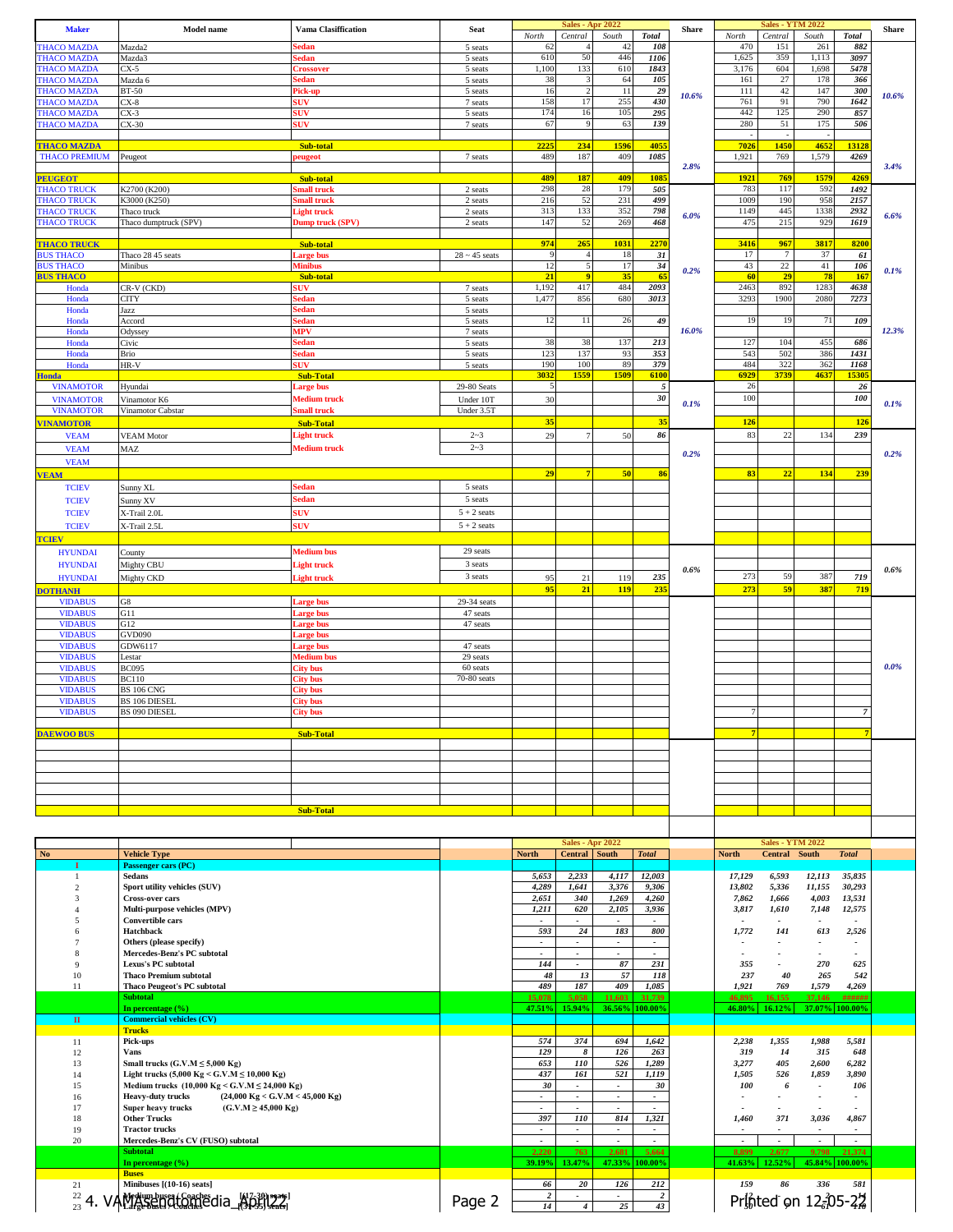| <b>Maker</b>                             | <b>Model</b> name                                                                                                      | <b>Vama Clasiffication</b>                | <b>Seat</b>                    | North                                 | Central                               | <b>Sales - Apr 2022</b><br>South           | <b>Total</b>                       | <b>Share</b> | North                    | <b>Sales - YTM 2022</b><br>Central | South                                     | <b>Total</b>             | <b>Share</b> |
|------------------------------------------|------------------------------------------------------------------------------------------------------------------------|-------------------------------------------|--------------------------------|---------------------------------------|---------------------------------------|--------------------------------------------|------------------------------------|--------------|--------------------------|------------------------------------|-------------------------------------------|--------------------------|--------------|
| <b>THACO MAZDA</b>                       | Mazda2                                                                                                                 | edan                                      | 5 seats                        | 62                                    |                                       | 42                                         | 108                                |              | 470                      | 151                                | 261                                       | 882                      |              |
| <b>THACO MAZDA</b><br><b>THACO MAZDA</b> | Mazda3<br>CX-5                                                                                                         | edan<br><b>Prossover</b>                  | 5 seats<br>5 seats             | 610<br>1,100                          | 50<br>133                             | 446<br>610                                 | 1106<br>1843                       |              | 1,625<br>3,176           | 359<br>604                         | 1,113<br>1,698                            | 3097<br>5478             |              |
| <b>THACO MAZDA</b>                       | Mazda 6                                                                                                                | edan                                      | 5 seats                        | 38                                    |                                       | 64                                         | 105                                |              | 161                      | $27\,$                             | 178                                       | 366                      |              |
| <b>THACO MAZDA</b>                       | <b>BT-50</b>                                                                                                           | Pick-up                                   | 5 seats                        | 16                                    |                                       | 11                                         | 29                                 | 10.6%        | 111                      | 42                                 | 147                                       | 300                      | 10.6%        |
| <b>THACO MAZDA</b><br><b>THACO MAZDA</b> | $CX-8$<br>$CX-3$                                                                                                       | <b>SUV</b><br>SUV                         | 7 seats<br>5 seats             | 158<br>174                            | 17<br>16                              | 255<br>105                                 | 430<br>295                         |              | 761<br>442               | 91<br>125                          | 790<br>290                                | 1642<br>857              |              |
| <b>THACO MAZDA</b>                       | $CX-30$                                                                                                                | <b>SUV</b>                                | 7 seats                        | 67                                    | $\mathbf Q$                           | 63                                         | 139                                |              | 280                      | 51                                 | 175                                       | 506                      |              |
| <b>THACO MAZDA</b>                       |                                                                                                                        | Sub-total                                 |                                | 2225                                  | 234                                   | 1596                                       | 4055                               |              | 7026                     | ۰.<br>1450                         | 4652                                      | 13128                    |              |
| <b>THACO PREMIUM</b>                     | Peugeot                                                                                                                | eugeot                                    | 7 seats                        | 489                                   | 187                                   | 409                                        | 1085                               |              | 1,921                    | 769                                | 1,579                                     | 4269                     |              |
| <b>PEUGEOT</b>                           |                                                                                                                        | Sub-total                                 |                                | 489                                   | 187                                   | 409                                        | 1085                               | 2.8%         | 1921                     | 769                                | 1579                                      | 4269                     | 3.4%         |
| <b>THACO TRUCK</b>                       | K2700 (K200)                                                                                                           | mall truck                                | 2 seats                        | 298                                   | 28                                    | 179                                        | 505                                |              | 783                      | 117                                | 592                                       | 1492                     |              |
| <b>THACO TRUCK</b><br><b>THACO TRUCK</b> | K3000 (K250)<br>Thaco truck                                                                                            | imall truck<br>Light truck                | 2 seats<br>2 seats             | 216<br>313                            | 52<br>133                             | 231<br>352                                 | 499<br>798                         |              | 1009<br>1149             | 190<br>445                         | 958<br>1338                               | 2157<br>2932             |              |
| <b>THACO TRUCK</b>                       | Thaco dumptruck (SPV)                                                                                                  | Dump truck (SPV)                          | 2 seats                        | 147                                   | 52                                    | 269                                        | 468                                | 6.0%         | 475                      | 215                                | 929                                       | 1619                     | 6.6%         |
|                                          |                                                                                                                        |                                           |                                | 974                                   | 265                                   | 1031                                       | 2270                               |              | 3416                     | 967                                | 3817                                      | 8200                     |              |
| <b>THACO TRUCK</b><br><b>BUS THACO</b>   | Thaco 28 45 seats                                                                                                      | Sub-total<br>arge bus                     | $28 \sim 45$ seats             | 9                                     | $\overline{4}$                        | 18                                         | 31                                 |              | 17                       | $\tau$                             | 37                                        | 61                       |              |
| <b>BUS THACO</b>                         | Minibus                                                                                                                | <b>Ainibus</b>                            |                                | 12<br>21                              | $\bullet$                             | 17<br>35                                   | 34<br>65                           | 0.2%         | 43<br>60                 | $22\,$<br>29                       | 41<br>78                                  | 106<br>167               | 0.1%         |
| <b>BUS THACO</b><br>Honda                | CR-V (CKD)                                                                                                             | Sub-total<br><b>SUV</b>                   | 7 seats                        | 1,192                                 | 417                                   | 484                                        | 2093                               |              | 2463                     | 892                                | 1283                                      | 4638                     |              |
| Honda                                    | CITY                                                                                                                   | edan                                      | 5 seats                        | 1,477                                 | 856                                   | 680                                        | 3013                               |              | 3293                     | 1900                               | 2080                                      | 7273                     |              |
| Honda<br>Honda                           | Jazz<br>Accord                                                                                                         | edan<br>edan                              | 5 seats<br>5 seats             | 12                                    | 11                                    | 26                                         | 49                                 |              | 19                       | 19                                 | 71                                        | 109                      |              |
| Honda                                    | Odyssey                                                                                                                | MPV                                       | 7 seats                        |                                       |                                       |                                            |                                    | 16.0%        |                          |                                    |                                           |                          | 12.3%        |
| Honda<br>Honda                           | Civic<br>Brio                                                                                                          | edan<br>edan                              | 5 seats<br>5 seats             | 38<br>123                             | 38<br>137                             | 137<br>93                                  | 213<br>353                         |              | 127<br>543               | 104<br>502                         | 455<br>386                                | 686<br>1431              |              |
| Honda                                    | HR-V                                                                                                                   | <b>SUV</b>                                | 5 seats                        | 190                                   | 100                                   | 89                                         | 379                                |              | 484                      | 322                                | 362                                       | 1168                     |              |
| <b>Honda</b>                             |                                                                                                                        | <b>Sub-Total</b>                          |                                | 3032                                  | 1555                                  | 1509                                       | 6100                               |              | 6929                     | 3739                               | 4637                                      | 15305                    |              |
| <b>VINAMOTOR</b><br><b>VINAMOTOR</b>     | Hyundai<br>Vinamotor K6                                                                                                | arge bus<br>Medium truck                  | 29-80 Seats<br>Under 10T       | 5<br>30                               |                                       |                                            | $\sqrt{5}$<br>30                   |              | 26<br>100                |                                    |                                           | 26<br>100                |              |
| <b>VINAMOTOR</b>                         | Vinamotor Cabstar                                                                                                      | imall truck                               | Under 3.5T                     |                                       |                                       |                                            |                                    | 0.1%         |                          |                                    |                                           |                          | 0.1%         |
| <b>VINAMOTOR</b>                         |                                                                                                                        | <b>Sub-Total</b>                          |                                | 35                                    |                                       |                                            | 35                                 |              | 126                      |                                    |                                           | 126                      |              |
| <b>VEAM</b>                              | <b>VEAM Motor</b>                                                                                                      | <b>Light truck</b><br><b>Medium truck</b> | $2 - 3$<br>$2 - 3$             | 29                                    |                                       | 50                                         | 86                                 |              | 83                       | 22                                 | 134                                       | 239                      |              |
| <b>VEAM</b><br><b>VEAM</b>               | MAZ                                                                                                                    |                                           |                                |                                       |                                       |                                            |                                    | 0.2%         |                          |                                    |                                           |                          | 0.2%         |
| <b>VEAM</b>                              |                                                                                                                        |                                           |                                | 29                                    | 7                                     | 50                                         | 86                                 |              | 83                       | 22                                 | 134                                       | 239                      |              |
| <b>TCIEV</b>                             | Sunny XL                                                                                                               | <b>Sedan</b>                              | 5 seats                        |                                       |                                       |                                            |                                    |              |                          |                                    |                                           |                          |              |
| <b>TCIEV</b>                             | Sunny XV                                                                                                               | sedan                                     | 5 seats                        |                                       |                                       |                                            |                                    |              |                          |                                    |                                           |                          |              |
| <b>TCIEV</b><br><b>TCIEV</b>             | X-Trail 2.0L<br>X-Trail 2.5L                                                                                           | <b>SUV</b><br><b>SUV</b>                  | $5 + 2$ seats<br>$5 + 2$ seats |                                       |                                       |                                            |                                    |              |                          |                                    |                                           |                          |              |
| <b>TCIEV</b>                             |                                                                                                                        |                                           |                                |                                       |                                       |                                            |                                    |              |                          |                                    |                                           |                          |              |
| <b>HYUNDAI</b>                           | County                                                                                                                 | <b>Medium</b> bus                         | 29 seats                       |                                       |                                       |                                            |                                    |              |                          |                                    |                                           |                          |              |
| <b>HYUNDAI</b>                           | Mighty CBU                                                                                                             | <b>Light truck</b>                        | 3 seats                        |                                       |                                       |                                            |                                    | 0.6%         |                          |                                    |                                           |                          | 0.6%         |
| <b>HYUNDAI</b>                           | Mighty CKD                                                                                                             | Light truck                               | 3 seats                        | 95<br>95                              | 21                                    | 119                                        | 235                                |              | 273                      | 59<br>59                           | 387                                       | 719                      |              |
| <b>DOTHANH</b><br><b>VIDABUS</b>         | G8                                                                                                                     | Large bus                                 | 29-34 seats                    |                                       | 21                                    | 119                                        | 235                                |              | 273                      |                                    | 387                                       | 719                      |              |
| <b>VIDABUS</b>                           | G11                                                                                                                    | arge bus                                  | 47 seats                       |                                       |                                       |                                            |                                    |              |                          |                                    |                                           |                          |              |
| <b>VIDABUS</b><br><b>VIDABUS</b>         | G12<br><b>GVD090</b>                                                                                                   | arge bus<br>arge bus.                     | 47 seats                       |                                       |                                       |                                            |                                    |              |                          |                                    |                                           |                          |              |
| <b>VIDABUS</b>                           | GDW6117                                                                                                                | arge bus                                  | 47 seats                       |                                       |                                       |                                            |                                    |              |                          |                                    |                                           |                          |              |
| <b>VIDABUS</b>                           | Lestar                                                                                                                 | Medium bus                                | 29 seats                       |                                       |                                       |                                            |                                    |              |                          |                                    |                                           |                          | 0.0%         |
| <b>VIDABUS</b><br><b>VIDABUS</b>         | <b>BC095</b><br><b>BC110</b>                                                                                           | <b>City bus</b><br><b>City bus</b>        | 60 seats<br>70-80 seats        |                                       |                                       |                                            |                                    |              |                          |                                    |                                           |                          |              |
| <b>VIDABUS</b>                           | <b>BS 106 CNG</b>                                                                                                      | City bus                                  |                                |                                       |                                       |                                            |                                    |              |                          |                                    |                                           |                          |              |
| <b>VIDABUS</b><br><b>VIDABUS</b>         | <b>BS 106 DIESEL</b><br>BS 090 DIESEL                                                                                  | <b>City</b> bus<br><b>City bus</b>        |                                |                                       |                                       |                                            |                                    |              |                          |                                    |                                           | $\overline{7}$           |              |
|                                          |                                                                                                                        |                                           |                                |                                       |                                       |                                            |                                    |              |                          |                                    |                                           |                          |              |
| <b>DAEWOO BUS</b>                        |                                                                                                                        | <b>Sub-Total</b>                          |                                |                                       |                                       |                                            |                                    |              |                          |                                    |                                           |                          |              |
|                                          |                                                                                                                        |                                           |                                |                                       |                                       |                                            |                                    |              |                          |                                    |                                           |                          |              |
|                                          |                                                                                                                        |                                           |                                |                                       |                                       |                                            |                                    |              |                          |                                    |                                           |                          |              |
|                                          |                                                                                                                        |                                           |                                |                                       |                                       |                                            |                                    |              |                          |                                    |                                           |                          |              |
|                                          |                                                                                                                        |                                           |                                |                                       |                                       |                                            |                                    |              |                          |                                    |                                           |                          |              |
|                                          |                                                                                                                        | <b>Sub-Total</b>                          |                                |                                       |                                       |                                            |                                    |              |                          |                                    |                                           |                          |              |
|                                          |                                                                                                                        |                                           |                                |                                       |                                       | <b>Sales - Apr 2022</b>                    |                                    |              |                          | <b>Sales - YTM 2022</b>            |                                           |                          |              |
| <b>No</b>                                | <b>Vehicle Type</b>                                                                                                    |                                           |                                | <b>North</b>                          | Central South                         |                                            | <b>Total</b>                       |              | <b>North</b>             | Central South                      |                                           | <b>Total</b>             |              |
|                                          | Passenger cars (PC)                                                                                                    |                                           |                                |                                       |                                       |                                            |                                    |              |                          |                                    |                                           |                          |              |
| $\mathbf{1}$<br>$\overline{2}$           | Sedans<br>Sport utility vehicles (SUV)                                                                                 |                                           |                                | 5,653<br>4,289                        | 2,233<br>1,641                        | 4,117<br>3,376                             | 12,003<br>9,306                    |              | 17,129<br>13,802         | 6,593<br>5,336                     | 12,113<br>11,155                          | 35,835<br>30,293         |              |
| 3                                        | <b>Cross-over cars</b>                                                                                                 |                                           |                                | 2,651                                 | 340                                   | 1,269                                      | 4,260                              |              | 7,862                    | 1,666                              | 4,003                                     | 13,531                   |              |
| 4<br>5                                   | Multi-purpose vehicles (MPV)<br><b>Convertible cars</b>                                                                |                                           |                                | 1,211<br>$\sim$                       | 620<br>$\mathcal{L}$                  | 2,105                                      | 3,936                              |              | 3,817                    | 1,610                              | 7,148                                     | 12,575                   |              |
| 6                                        | Hatchback                                                                                                              |                                           |                                | 593                                   | 24                                    | 183                                        | 800                                |              | 1,772                    | 141                                | 613                                       | 2,526                    |              |
| $\tau$<br>8                              | Others (please specify)                                                                                                |                                           |                                | $\sim$<br>$\mathcal{L}_{\mathcal{A}}$ | $\sim$<br>$\mathcal{L}_{\mathcal{A}}$ | $\overline{\phantom{a}}$<br>$\blacksquare$ | $\sim$<br>$\sim$                   |              |                          |                                    | $\overline{\phantom{a}}$                  | $\overline{\phantom{a}}$ |              |
| 9                                        | Mercedes-Benz's PC subtotal<br>Lexus's PC subtotal                                                                     |                                           |                                | 144                                   | $\blacksquare$                        | 87                                         | 231                                |              | 355                      |                                    | 270                                       | 625                      |              |
| 10                                       | <b>Thaco Premium subtotal</b>                                                                                          |                                           |                                | 48                                    | 13                                    | 57                                         | 118                                |              | 237                      | 40                                 | 265                                       | 542                      |              |
| 11                                       | <b>Thaco Peugeot's PC subtotal</b><br><b>Subtotal</b>                                                                  |                                           |                                | 489<br>15,078                         | 187<br>5,058                          | 409<br>11,603                              | 1,085<br>31,739                    |              | 1,921<br>46,895          | 769<br>16,155                      | 1,579<br>37,146                           | 4,269<br>######          |              |
|                                          | In percentage $(\% )$                                                                                                  |                                           |                                | 47.51%                                | 15.94%                                | 36.56%                                     | 100.00%                            |              | 46.80%                   | 16.12%                             | 37.07%                                    | 100.00%                  |              |
| $\mathbf{I}\mathbf{I}$                   | <b>Commercial vehicles (CV)</b><br><b>Trucks</b>                                                                       |                                           |                                |                                       |                                       |                                            |                                    |              |                          |                                    |                                           |                          |              |
| 11                                       | Pick-ups                                                                                                               |                                           |                                | 574                                   | 374                                   | 694                                        | 1,642                              |              | 2,238                    | 1,355                              | 1,988                                     | 5,581                    |              |
| 12                                       | Vans                                                                                                                   |                                           |                                | 129                                   | 8                                     | 126                                        | 263                                |              | 319                      | 14                                 | 315                                       | 648                      |              |
| 13<br>14                                 | Small trucks $(G.V.M \le 5,000$ Kg)<br>Light trucks (5,000 Kg ≤ G.V.M ≤ 10,000 Kg)                                     |                                           |                                | 653<br>437                            | 110<br>161                            | 526<br>521                                 | 1,289<br>1,119                     |              | 3,277<br>1,505           | 405<br>526                         | 2,600<br>1,859                            | 6,282<br>3,890           |              |
| 15                                       | Medium trucks (10,000 Kg < G.V.M $\leq$ 24,000 Kg)                                                                     |                                           |                                | 30                                    | $\blacksquare$                        | $\overline{\phantom{a}}$                   | 30                                 |              | 100                      | 6                                  | $\sim$                                    | 106                      |              |
| 16<br>17                                 | $(24,000 \text{ Kg} <$ G.V.M < 45,000 Kg)<br><b>Heavy-duty trucks</b><br>$(G.V.M \ge 45,000 Kg)$<br>Super heavy trucks |                                           |                                | $\sim$                                | $\sim$                                | $\overline{\phantom{a}}$                   | $\sim$                             |              | $\overline{\phantom{a}}$ | ÷                                  |                                           | $\tilde{\phantom{a}}$    |              |
| 18                                       | <b>Other Trucks</b>                                                                                                    |                                           |                                | 397                                   | 110                                   | 814                                        | 1,321                              |              | 1,460                    | 371                                | 3,036                                     | 4,867                    |              |
| 19<br>20                                 | <b>Tractor trucks</b><br>Mercedes-Benz's CV (FUSO) subtotal                                                            |                                           |                                | $\sim$<br>$\sim$                      | $\sim$<br>$\mathbf{r}$                | $\overline{\phantom{a}}$<br>$\sim$         | $\overline{\phantom{a}}$<br>$\sim$ |              | $\sim$                   | $\sim$                             | $\sim$                                    | $\sim$                   |              |
|                                          | <b>Subtotal</b>                                                                                                        |                                           |                                | 2,220                                 | 763                                   | 2,681                                      | 5,664                              |              | 8,899                    | 2,677                              | 9,798                                     | 21,374                   |              |
|                                          | In percentage $(\% )$                                                                                                  |                                           |                                | 39.19%                                | 13.47%                                | 47.33%                                     | 100.00%                            |              | 41.63%                   | 12.52%                             |                                           | 45.84% 100.00%           |              |
| 21                                       | <b>Buses</b><br>Minibuses [(10-16) seats]                                                                              |                                           |                                | 66                                    | 20                                    | 126                                        | 212                                |              | 159                      | 86                                 | 336                                       | 581                      |              |
|                                          | $^{22}_{23}$ 4. VAMA seneration edia_ $^{47,30}_{123}$                                                                 |                                           | Page 2                         | $\overline{\mathbf{c}}$<br>14         |                                       |                                            | $\overline{\mathbf{c}}$            |              |                          |                                    | Printed on $12\frac{2}{9}05-2\frac{1}{8}$ |                          |              |
|                                          |                                                                                                                        |                                           |                                |                                       | $\overline{4}$                        | 25                                         | 43                                 |              |                          |                                    |                                           |                          |              |